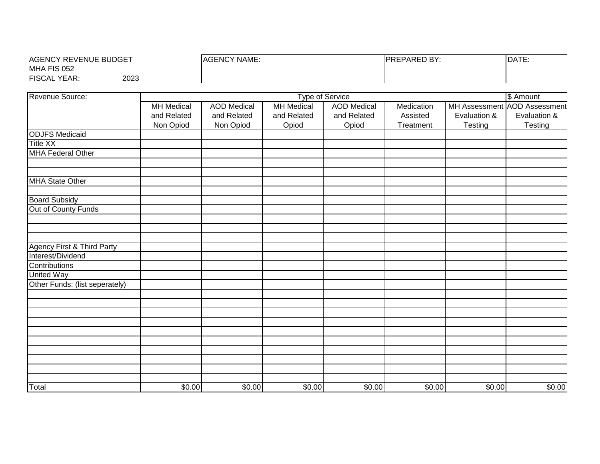| AGENCY REVENUE BUDGET  |      | <b>AGENCY NAME:</b> | PARED BY:<br>PRE | DATE: |
|------------------------|------|---------------------|------------------|-------|
| MHA FIS 052            |      |                     |                  |       |
| <b>FISCAL</b><br>YEAR: | 2023 |                     |                  |       |

| Revenue Source:                |                   | \$ Amount<br><b>Type of Service</b> |                   |                    |            |              |                              |  |  |
|--------------------------------|-------------------|-------------------------------------|-------------------|--------------------|------------|--------------|------------------------------|--|--|
|                                | <b>MH</b> Medical | <b>AOD</b> Medical                  | <b>MH</b> Medical | <b>AOD</b> Medical | Medication |              | MH Assessment AOD Assessment |  |  |
|                                | and Related       | and Related                         | and Related       | and Related        | Assisted   | Evaluation & | Evaluation &                 |  |  |
|                                | Non Opiod         | Non Opiod                           | Opiod             | Opiod              | Treatment  | Testing      | Testing                      |  |  |
| <b>ODJFS Medicaid</b>          |                   |                                     |                   |                    |            |              |                              |  |  |
| <b>Title XX</b>                |                   |                                     |                   |                    |            |              |                              |  |  |
| <b>MHA Federal Other</b>       |                   |                                     |                   |                    |            |              |                              |  |  |
| <b>MHA State Other</b>         |                   |                                     |                   |                    |            |              |                              |  |  |
|                                |                   |                                     |                   |                    |            |              |                              |  |  |
| <b>Board Subsidy</b>           |                   |                                     |                   |                    |            |              |                              |  |  |
| Out of County Funds            |                   |                                     |                   |                    |            |              |                              |  |  |
|                                |                   |                                     |                   |                    |            |              |                              |  |  |
|                                |                   |                                     |                   |                    |            |              |                              |  |  |
|                                |                   |                                     |                   |                    |            |              |                              |  |  |
| Agency First & Third Party     |                   |                                     |                   |                    |            |              |                              |  |  |
| Interest/Dividend              |                   |                                     |                   |                    |            |              |                              |  |  |
| Contributions                  |                   |                                     |                   |                    |            |              |                              |  |  |
| <b>United Way</b>              |                   |                                     |                   |                    |            |              |                              |  |  |
| Other Funds: (list seperately) |                   |                                     |                   |                    |            |              |                              |  |  |
|                                |                   |                                     |                   |                    |            |              |                              |  |  |
|                                |                   |                                     |                   |                    |            |              |                              |  |  |
|                                |                   |                                     |                   |                    |            |              |                              |  |  |
|                                |                   |                                     |                   |                    |            |              |                              |  |  |
|                                |                   |                                     |                   |                    |            |              |                              |  |  |
|                                |                   |                                     |                   |                    |            |              |                              |  |  |
|                                |                   |                                     |                   |                    |            |              |                              |  |  |
|                                |                   |                                     |                   |                    |            |              |                              |  |  |
|                                |                   |                                     |                   |                    |            |              |                              |  |  |
| Total                          | \$0.00            | \$0.00                              | \$0.00            | \$0.00             | \$0.00     | \$0.00       | \$0.00                       |  |  |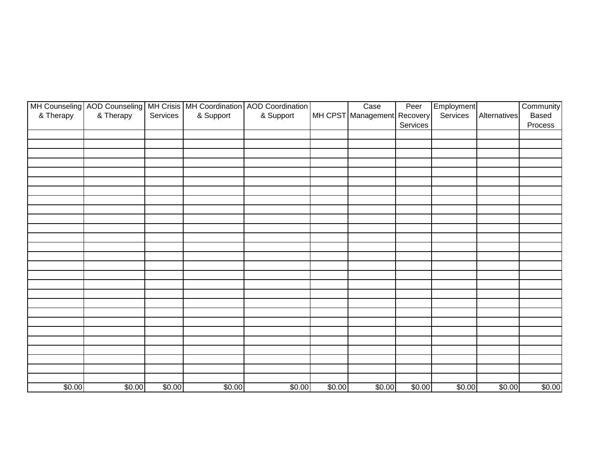| & Therapy | & Therapy | Services | & Support | MH Counseling   AOD Counseling   MH Crisis   MH Coordination   AOD Coordination<br>& Support |        | Case<br>MH CPST Management Recovery | Peer<br>Services | Employment<br>Services | Alternatives | Community<br>Based<br>Process |
|-----------|-----------|----------|-----------|----------------------------------------------------------------------------------------------|--------|-------------------------------------|------------------|------------------------|--------------|-------------------------------|
|           |           |          |           |                                                                                              |        |                                     |                  |                        |              |                               |
|           |           |          |           |                                                                                              |        |                                     |                  |                        |              |                               |
|           |           |          |           |                                                                                              |        |                                     |                  |                        |              |                               |
|           |           |          |           |                                                                                              |        |                                     |                  |                        |              |                               |
|           |           |          |           |                                                                                              |        |                                     |                  |                        |              |                               |
|           |           |          |           |                                                                                              |        |                                     |                  |                        |              |                               |
|           |           |          |           |                                                                                              |        |                                     |                  |                        |              |                               |
|           |           |          |           |                                                                                              |        |                                     |                  |                        |              |                               |
|           |           |          |           |                                                                                              |        |                                     |                  |                        |              |                               |
|           |           |          |           |                                                                                              |        |                                     |                  |                        |              |                               |
|           |           |          |           |                                                                                              |        |                                     |                  |                        |              |                               |
|           |           |          |           |                                                                                              |        |                                     |                  |                        |              |                               |
|           |           |          |           |                                                                                              |        |                                     |                  |                        |              |                               |
|           |           |          |           |                                                                                              |        |                                     |                  |                        |              |                               |
|           |           |          |           |                                                                                              |        |                                     |                  |                        |              |                               |
|           |           |          |           |                                                                                              |        |                                     |                  |                        |              |                               |
|           |           |          |           |                                                                                              |        |                                     |                  |                        |              |                               |
|           |           |          |           |                                                                                              |        |                                     |                  |                        |              |                               |
|           |           |          |           |                                                                                              |        |                                     |                  |                        |              |                               |
|           |           |          |           |                                                                                              |        |                                     |                  |                        |              |                               |
|           |           |          |           |                                                                                              |        |                                     |                  |                        |              |                               |
|           |           |          |           |                                                                                              |        |                                     |                  |                        |              |                               |
|           |           |          |           |                                                                                              |        |                                     |                  |                        |              |                               |
| \$0.00    | \$0.00    | \$0.00   | \$0.00    | \$0.00                                                                                       | \$0.00 | \$0.00                              | \$0.00           | \$0.00                 | \$0.00       | \$0.00                        |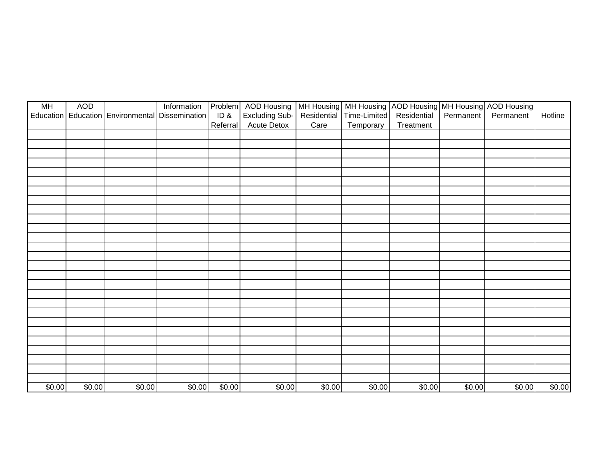| <b>MH</b> | <b>AOD</b> | Education   Education   Environmental | Information<br><b>Dissemination</b> | ID&      | Problem AOD Housing<br><b>Excluding Sub-</b> | Residential | Time-Limited | MH Housing MH Housing AOD Housing MH Housing AOD Housing<br>Residential | Permanent | Permanent | Hotline |
|-----------|------------|---------------------------------------|-------------------------------------|----------|----------------------------------------------|-------------|--------------|-------------------------------------------------------------------------|-----------|-----------|---------|
|           |            |                                       |                                     | Referral | <b>Acute Detox</b>                           | Care        | Temporary    | Treatment                                                               |           |           |         |
|           |            |                                       |                                     |          |                                              |             |              |                                                                         |           |           |         |
|           |            |                                       |                                     |          |                                              |             |              |                                                                         |           |           |         |
|           |            |                                       |                                     |          |                                              |             |              |                                                                         |           |           |         |
|           |            |                                       |                                     |          |                                              |             |              |                                                                         |           |           |         |
|           |            |                                       |                                     |          |                                              |             |              |                                                                         |           |           |         |
|           |            |                                       |                                     |          |                                              |             |              |                                                                         |           |           |         |
|           |            |                                       |                                     |          |                                              |             |              |                                                                         |           |           |         |
|           |            |                                       |                                     |          |                                              |             |              |                                                                         |           |           |         |
|           |            |                                       |                                     |          |                                              |             |              |                                                                         |           |           |         |
|           |            |                                       |                                     |          |                                              |             |              |                                                                         |           |           |         |
|           |            |                                       |                                     |          |                                              |             |              |                                                                         |           |           |         |
|           |            |                                       |                                     |          |                                              |             |              |                                                                         |           |           |         |
|           |            |                                       |                                     |          |                                              |             |              |                                                                         |           |           |         |
|           |            |                                       |                                     |          |                                              |             |              |                                                                         |           |           |         |
|           |            |                                       |                                     |          |                                              |             |              |                                                                         |           |           |         |
|           |            |                                       |                                     |          |                                              |             |              |                                                                         |           |           |         |
|           |            |                                       |                                     |          |                                              |             |              |                                                                         |           |           |         |
|           |            |                                       |                                     |          |                                              |             |              |                                                                         |           |           |         |
|           |            |                                       |                                     |          |                                              |             |              |                                                                         |           |           |         |
|           |            |                                       |                                     |          |                                              |             |              |                                                                         |           |           |         |
|           |            |                                       |                                     |          |                                              |             |              |                                                                         |           |           |         |
|           |            |                                       |                                     |          |                                              |             |              |                                                                         |           |           |         |
|           |            |                                       |                                     |          |                                              |             |              |                                                                         |           |           |         |
|           |            |                                       |                                     |          |                                              |             |              |                                                                         |           |           |         |
|           |            |                                       |                                     |          |                                              |             |              |                                                                         |           |           |         |
| \$0.00    | \$0.00     | \$0.00                                | \$0.00                              | \$0.00   | \$0.00                                       | \$0.00      | \$0.00       | \$0.00                                                                  | \$0.00    | \$0.00    | \$0.00  |